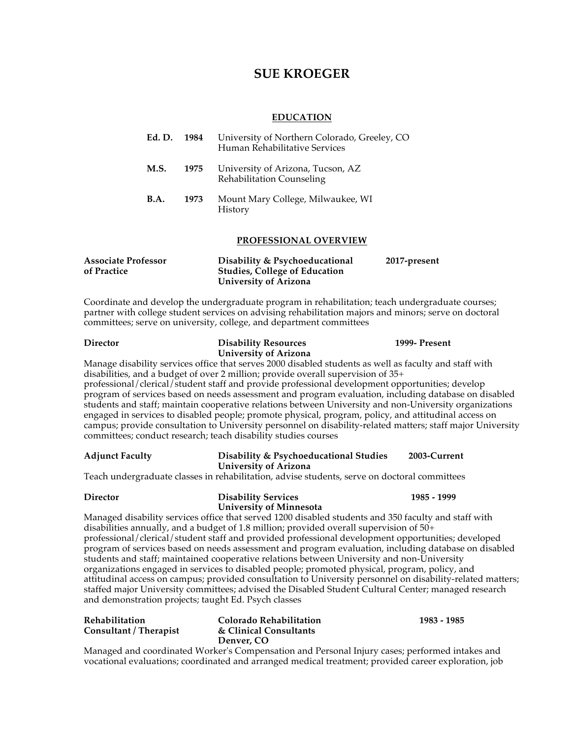# **SUE KROEGER**

# **EDUCATION**

| Ed. D.      | 1984 | University of Northern Colorado, Greeley, CO<br>Human Rehabilitative Services |
|-------------|------|-------------------------------------------------------------------------------|
| M.S.        | 1975 | University of Arizona, Tucson, AZ<br>Rehabilitation Counseling                |
| <b>B.A.</b> | 1973 | Mount Mary College, Milwaukee, WI<br>History                                  |
|             |      | <b>PROFESSIONAL OVERVIEW</b>                                                  |

| <b>Associate Professor</b> | Disability & Psychoeducational       | 2017-present |
|----------------------------|--------------------------------------|--------------|
| of Practice                | <b>Studies, College of Education</b> |              |
|                            | University of Arizona                |              |

Coordinate and develop the undergraduate program in rehabilitation; teach undergraduate courses; partner with college student services on advising rehabilitation majors and minors; serve on doctoral committees; serve on university, college, and department committees

| <b>Director</b>                                                                                                                                                                                                                                                                                                                                                                                                                                                          | <b>Disability Resources</b>                                            | 1999- Present |  |  |  |  |  |  |
|--------------------------------------------------------------------------------------------------------------------------------------------------------------------------------------------------------------------------------------------------------------------------------------------------------------------------------------------------------------------------------------------------------------------------------------------------------------------------|------------------------------------------------------------------------|---------------|--|--|--|--|--|--|
|                                                                                                                                                                                                                                                                                                                                                                                                                                                                          | <b>University of Arizona</b>                                           |               |  |  |  |  |  |  |
| Manage disability services office that serves 2000 disabled students as well as faculty and staff with<br>disabilities, and a budget of over 2 million; provide overall supervision of 35+<br>professional/clerical/student staff and provide professional development opportunities; develop                                                                                                                                                                            |                                                                        |               |  |  |  |  |  |  |
| program of services based on needs assessment and program evaluation, including database on disabled<br>students and staff; maintain cooperative relations between University and non-University organizations                                                                                                                                                                                                                                                           |                                                                        |               |  |  |  |  |  |  |
| engaged in services to disabled people; promote physical, program, policy, and attitudinal access on<br>campus; provide consultation to University personnel on disability-related matters; staff major University<br>committees; conduct research; teach disability studies courses                                                                                                                                                                                     |                                                                        |               |  |  |  |  |  |  |
| <b>Adjunct Faculty</b>                                                                                                                                                                                                                                                                                                                                                                                                                                                   | Disability & Psychoeducational Studies<br><b>University of Arizona</b> | 2003-Current  |  |  |  |  |  |  |
| Teach undergraduate classes in rehabilitation, advise students, serve on doctoral committees                                                                                                                                                                                                                                                                                                                                                                             |                                                                        |               |  |  |  |  |  |  |
| <b>Director</b>                                                                                                                                                                                                                                                                                                                                                                                                                                                          | <b>Disability Services</b><br><b>University of Minnesota</b>           | 1985 - 1999   |  |  |  |  |  |  |
| Managed disability services office that served 1200 disabled students and 350 faculty and staff with<br>disabilities annually, and a budget of 1.8 million; provided overall supervision of $50+$                                                                                                                                                                                                                                                                        |                                                                        |               |  |  |  |  |  |  |
| professional/clerical/student staff and provided professional development opportunities; developed<br>program of services based on needs assessment and program evaluation, including database on disabled                                                                                                                                                                                                                                                               |                                                                        |               |  |  |  |  |  |  |
| students and staff; maintained cooperative relations between University and non-University<br>organizations engaged in services to disabled people; promoted physical, program, policy, and<br>attitudinal access on campus; provided consultation to University personnel on disability-related matters;<br>staffed major University committees; advised the Disabled Student Cultural Center; managed research<br>and demonstration projects; taught Ed. Psych classes |                                                                        |               |  |  |  |  |  |  |
| Rehabilitation<br>Consultant / Therapist                                                                                                                                                                                                                                                                                                                                                                                                                                 | <b>Colorado Rehabilitation</b><br>& Clinical Consultants<br>Denver, CO | 1983 - 1985   |  |  |  |  |  |  |

Managed and coordinated Worker's Compensation and Personal Injury cases; performed intakes and vocational evaluations; coordinated and arranged medical treatment; provided career exploration, job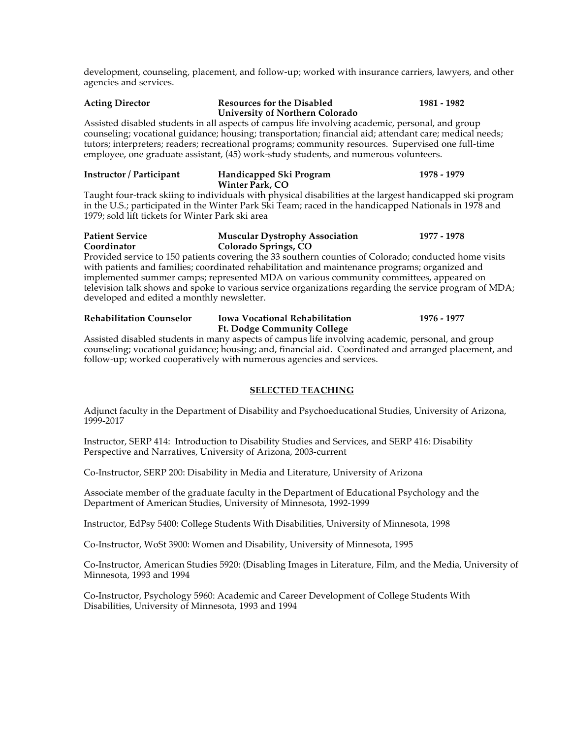development, counseling, placement, and follow-up; worked with insurance carriers, lawyers, and other agencies and services.

# **Acting Director Resources for the Disabled 1981 - 1982 University of Northern Colorado**

Assisted disabled students in all aspects of campus life involving academic, personal, and group counseling; vocational guidance; housing; transportation; financial aid; attendant care; medical needs; tutors; interpreters; readers; recreational programs; community resources. Supervised one full-time employee, one graduate assistant, (45) work-study students, and numerous volunteers.

| Instructor / Participant | Handicapped Ski Program | 1978 - 1979 |  |
|--------------------------|-------------------------|-------------|--|
|                          | Winter Park, CO         |             |  |

Taught four-track skiing to individuals with physical disabilities at the largest handicapped ski program in the U.S.; participated in the Winter Park Ski Team; raced in the handicapped Nationals in 1978 and 1979; sold lift tickets for Winter Park ski area

### **Patient Service Muscular Dystrophy Association 1977 - 1978 Coordinator Colorado Springs, CO** Provided service to 150 patients covering the 33 southern counties of Colorado; conducted home visits

with patients and families; coordinated rehabilitation and maintenance programs; organized and implemented summer camps; represented MDA on various community committees, appeared on television talk shows and spoke to various service organizations regarding the service program of MDA; developed and edited a monthly newsletter.

# **Rehabilitation Counselor Iowa Vocational Rehabilitation 1976 - 1977 Ft. Dodge Community College**

Assisted disabled students in many aspects of campus life involving academic, personal, and group counseling; vocational guidance; housing; and, financial aid. Coordinated and arranged placement, and follow-up; worked cooperatively with numerous agencies and services.

# **SELECTED TEACHING**

Adjunct faculty in the Department of Disability and Psychoeducational Studies, University of Arizona, 1999-2017

Instructor, SERP 414: Introduction to Disability Studies and Services, and SERP 416: Disability Perspective and Narratives, University of Arizona, 2003-current

Co-Instructor, SERP 200: Disability in Media and Literature, University of Arizona

Associate member of the graduate faculty in the Department of Educational Psychology and the Department of American Studies, University of Minnesota, 1992-1999

Instructor, EdPsy 5400: College Students With Disabilities, University of Minnesota, 1998

Co-Instructor, WoSt 3900: Women and Disability, University of Minnesota, 1995

Co-Instructor, American Studies 5920: (Disabling Images in Literature, Film, and the Media, University of Minnesota, 1993 and 1994

Co-Instructor, Psychology 5960: Academic and Career Development of College Students With Disabilities, University of Minnesota, 1993 and 1994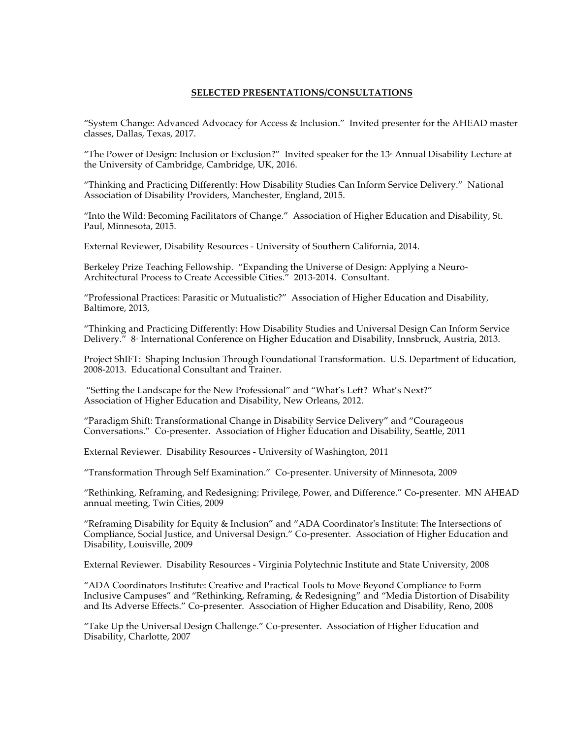## **SELECTED PRESENTATIONS/CONSULTATIONS**

"System Change: Advanced Advocacy for Access & Inclusion." Invited presenter for the AHEAD master classes, Dallas, Texas, 2017.

"The Power of Design: Inclusion or Exclusion?" Invited speaker for the  $13<sup>*</sup>$  Annual Disability Lecture at the University of Cambridge, Cambridge, UK, 2016.

"Thinking and Practicing Differently: How Disability Studies Can Inform Service Delivery." National Association of Disability Providers, Manchester, England, 2015.

"Into the Wild: Becoming Facilitators of Change." Association of Higher Education and Disability, St. Paul, Minnesota, 2015.

External Reviewer, Disability Resources - University of Southern California, 2014.

Berkeley Prize Teaching Fellowship. "Expanding the Universe of Design: Applying a Neuro-Architectural Process to Create Accessible Cities." 2013-2014. Consultant.

"Professional Practices: Parasitic or Mutualistic?" Association of Higher Education and Disability, Baltimore, 2013,

"Thinking and Practicing Differently: How Disability Studies and Universal Design Can Inform Service Delivery.<sup> $\bar{r}$ </sup> 8<sup>th</sup> International Conference on Higher Education and Disability, Innsbruck, Austria, 2013.

Project ShIFT: Shaping Inclusion Through Foundational Transformation. U.S. Department of Education, 2008-2013. Educational Consultant and Trainer.

"Setting the Landscape for the New Professional" and "What's Left? What's Next?" Association of Higher Education and Disability, New Orleans, 2012.

"Paradigm Shift: Transformational Change in Disability Service Delivery" and "Courageous Conversations." Co-presenter. Association of Higher Education and Disability, Seattle, 2011

External Reviewer. Disability Resources - University of Washington, 2011

"Transformation Through Self Examination." Co-presenter. University of Minnesota, 2009

"Rethinking, Reframing, and Redesigning: Privilege, Power, and Difference." Co-presenter. MN AHEAD annual meeting, Twin Cities, 2009

"Reframing Disability for Equity & Inclusion" and "ADA Coordinator's Institute: The Intersections of Compliance, Social Justice, and Universal Design." Co-presenter. Association of Higher Education and Disability, Louisville, 2009

External Reviewer. Disability Resources - Virginia Polytechnic Institute and State University, 2008

"ADA Coordinators Institute: Creative and Practical Tools to Move Beyond Compliance to Form Inclusive Campuses" and "Rethinking, Reframing, & Redesigning" and "Media Distortion of Disability and Its Adverse Effects." Co-presenter. Association of Higher Education and Disability, Reno, 2008

"Take Up the Universal Design Challenge." Co-presenter. Association of Higher Education and Disability, Charlotte, 2007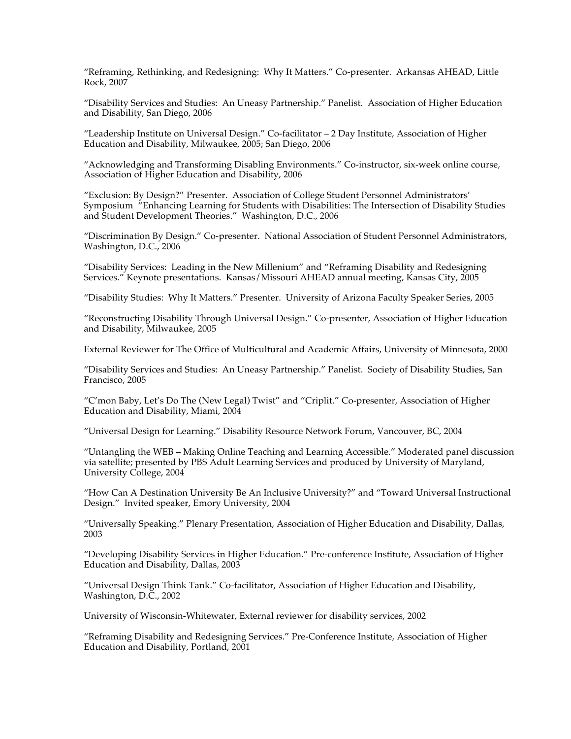"Reframing, Rethinking, and Redesigning: Why It Matters." Co-presenter. Arkansas AHEAD, Little Rock, 2007

"Disability Services and Studies: An Uneasy Partnership." Panelist. Association of Higher Education and Disability, San Diego, 2006

"Leadership Institute on Universal Design." Co-facilitator – 2 Day Institute, Association of Higher Education and Disability, Milwaukee, 2005; San Diego, 2006

"Acknowledging and Transforming Disabling Environments." Co-instructor, six-week online course, Association of Higher Education and Disability, 2006

"Exclusion: By Design?" Presenter. Association of College Student Personnel Administrators' Symposium "Enhancing Learning for Students with Disabilities: The Intersection of Disability Studies and Student Development Theories." Washington, D.C., 2006

"Discrimination By Design." Co-presenter. National Association of Student Personnel Administrators, Washington, D.C., 2006

"Disability Services: Leading in the New Millenium" and "Reframing Disability and Redesigning Services." Keynote presentations. Kansas/Missouri AHEAD annual meeting, Kansas City, 2005

"Disability Studies: Why It Matters." Presenter. University of Arizona Faculty Speaker Series, 2005

"Reconstructing Disability Through Universal Design." Co-presenter, Association of Higher Education and Disability, Milwaukee, 2005

External Reviewer for The Office of Multicultural and Academic Affairs, University of Minnesota, 2000

"Disability Services and Studies: An Uneasy Partnership." Panelist. Society of Disability Studies, San Francisco, 2005

"C'mon Baby, Let's Do The (New Legal) Twist" and "Criplit." Co-presenter, Association of Higher Education and Disability, Miami, 2004

"Universal Design for Learning." Disability Resource Network Forum, Vancouver, BC, 2004

"Untangling the WEB – Making Online Teaching and Learning Accessible." Moderated panel discussion via satellite; presented by PBS Adult Learning Services and produced by University of Maryland, University College, 2004

"How Can A Destination University Be An Inclusive University?" and "Toward Universal Instructional Design." Invited speaker, Emory University, 2004

"Universally Speaking." Plenary Presentation, Association of Higher Education and Disability, Dallas, 2003

"Developing Disability Services in Higher Education." Pre-conference Institute, Association of Higher Education and Disability, Dallas, 2003

"Universal Design Think Tank." Co-facilitator, Association of Higher Education and Disability, Washington, D.C., 2002

University of Wisconsin-Whitewater, External reviewer for disability services, 2002

"Reframing Disability and Redesigning Services." Pre-Conference Institute, Association of Higher Education and Disability, Portland, 2001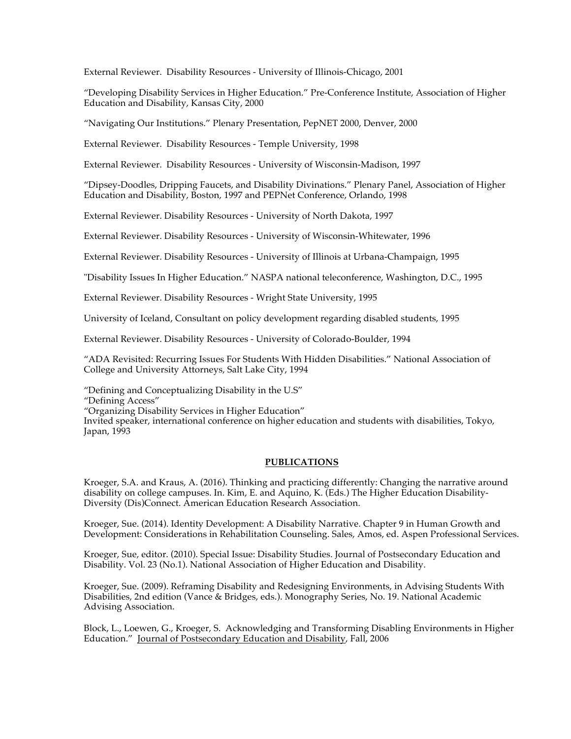External Reviewer. Disability Resources - University of Illinois-Chicago, 2001

"Developing Disability Services in Higher Education." Pre-Conference Institute, Association of Higher Education and Disability, Kansas City, 2000

"Navigating Our Institutions." Plenary Presentation, PepNET 2000, Denver, 2000

External Reviewer. Disability Resources - Temple University, 1998

External Reviewer. Disability Resources - University of Wisconsin-Madison, 1997

"Dipsey-Doodles, Dripping Faucets, and Disability Divinations." Plenary Panel, Association of Higher Education and Disability, Boston, 1997 and PEPNet Conference, Orlando, 1998

External Reviewer. Disability Resources - University of North Dakota, 1997

External Reviewer. Disability Resources - University of Wisconsin-Whitewater, 1996

External Reviewer. Disability Resources - University of Illinois at Urbana-Champaign, 1995

"Disability Issues In Higher Education." NASPA national teleconference, Washington, D.C., 1995

External Reviewer. Disability Resources - Wright State University, 1995

University of Iceland, Consultant on policy development regarding disabled students, 1995

External Reviewer. Disability Resources - University of Colorado-Boulder, 1994

"ADA Revisited: Recurring Issues For Students With Hidden Disabilities." National Association of College and University Attorneys, Salt Lake City, 1994

"Defining and Conceptualizing Disability in the U.S"

"Defining Access"

"Organizing Disability Services in Higher Education"

Invited speaker, international conference on higher education and students with disabilities, Tokyo, Japan, 1993

# **PUBLICATIONS**

Kroeger, S.A. and Kraus, A. (2016). Thinking and practicing differently: Changing the narrative around disability on college campuses. In. Kim, E. and Aquino, K. (Eds.) The Higher Education Disability-Diversity (Dis)Connect. American Education Research Association.

Kroeger, Sue. (2014). Identity Development: A Disability Narrative. Chapter 9 in Human Growth and Development: Considerations in Rehabilitation Counseling. Sales, Amos, ed. Aspen Professional Services.

Kroeger, Sue, editor. (2010). Special Issue: Disability Studies. Journal of Postsecondary Education and Disability. Vol. 23 (No.1). National Association of Higher Education and Disability.

Kroeger, Sue. (2009). Reframing Disability and Redesigning Environments, in Advising Students With Disabilities, 2nd edition (Vance & Bridges, eds.). Monography Series, No. 19. National Academic Advising Association.

Block, L., Loewen, G., Kroeger, S. Acknowledging and Transforming Disabling Environments in Higher Education." Journal of Postsecondary Education and Disability, Fall, 2006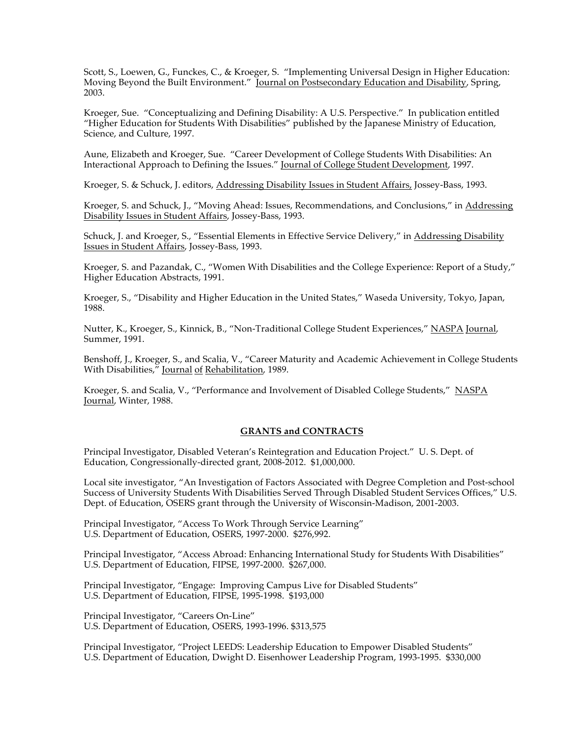Scott, S., Loewen, G., Funckes, C., & Kroeger, S. "Implementing Universal Design in Higher Education: Moving Beyond the Built Environment." Journal on Postsecondary Education and Disability, Spring, 2003.

Kroeger, Sue. "Conceptualizing and Defining Disability: A U.S. Perspective." In publication entitled "Higher Education for Students With Disabilities" published by the Japanese Ministry of Education, Science, and Culture, 1997.

Aune, Elizabeth and Kroeger, Sue. "Career Development of College Students With Disabilities: An Interactional Approach to Defining the Issues." Journal of College Student Development, 1997.

Kroeger, S. & Schuck, J. editors, Addressing Disability Issues in Student Affairs, Jossey-Bass, 1993.

Kroeger, S. and Schuck, J., "Moving Ahead: Issues, Recommendations, and Conclusions," in Addressing Disability Issues in Student Affairs, Jossey-Bass, 1993.

Schuck, J. and Kroeger, S., "Essential Elements in Effective Service Delivery," in Addressing Disability Issues in Student Affairs, Jossey-Bass, 1993.

Kroeger, S. and Pazandak, C., "Women With Disabilities and the College Experience: Report of a Study," Higher Education Abstracts, 1991.

Kroeger, S., "Disability and Higher Education in the United States," Waseda University, Tokyo, Japan, 1988.

Nutter, K., Kroeger, S., Kinnick, B., "Non-Traditional College Student Experiences," NASPA Journal, Summer, 1991.

Benshoff, J., Kroeger, S., and Scalia, V., "Career Maturity and Academic Achievement in College Students With Disabilities," Journal of Rehabilitation, 1989.

Kroeger, S. and Scalia, V., "Performance and Involvement of Disabled College Students," NASPA Journal, Winter, 1988.

# **GRANTS and CONTRACTS**

Principal Investigator, Disabled Veteran's Reintegration and Education Project." U. S. Dept. of Education, Congressionally-directed grant, 2008-2012. \$1,000,000.

Local site investigator, "An Investigation of Factors Associated with Degree Completion and Post-school Success of University Students With Disabilities Served Through Disabled Student Services Offices," U.S. Dept. of Education, OSERS grant through the University of Wisconsin-Madison, 2001-2003.

Principal Investigator, "Access To Work Through Service Learning" U.S. Department of Education, OSERS, 1997-2000. \$276,992.

Principal Investigator, "Access Abroad: Enhancing International Study for Students With Disabilities" U.S. Department of Education, FIPSE, 1997-2000. \$267,000.

Principal Investigator, "Engage: Improving Campus Live for Disabled Students" U.S. Department of Education, FIPSE, 1995-1998. \$193,000

Principal Investigator, "Careers On-Line" U.S. Department of Education, OSERS, 1993-1996. \$313,575

Principal Investigator, "Project LEEDS: Leadership Education to Empower Disabled Students" U.S. Department of Education, Dwight D. Eisenhower Leadership Program, 1993-1995. \$330,000